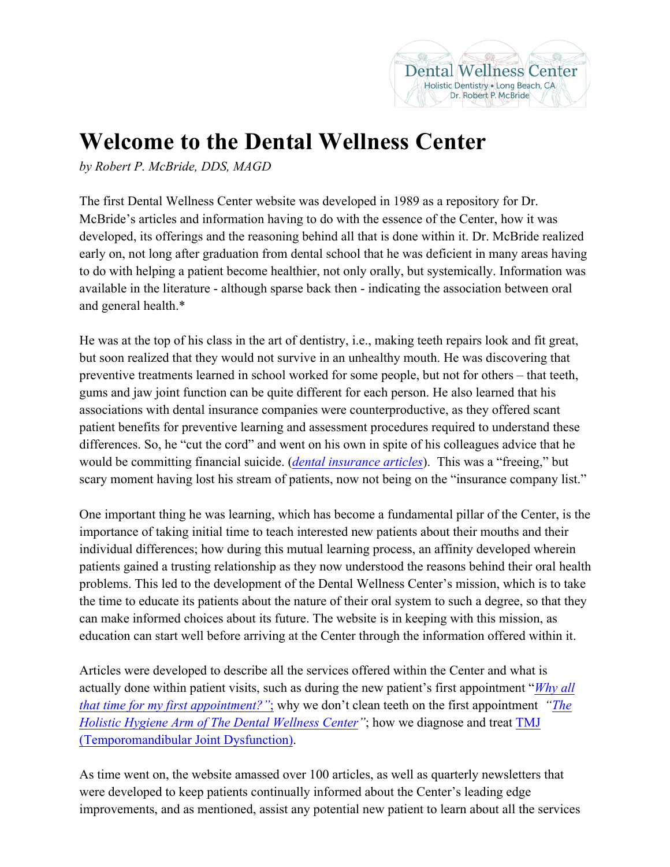## **Welcome to the Dental Wellness Center**

*by Robert P. McBride, DDS, MAGD*

The first Dental Wellness Center website was developed in 1989 as a repository for Dr. McBride's articles and information having to do with the essence of the Center, how it was developed, its offerings and the reasoning behind all that is done within it. Dr. McBride realized early on, not long after graduation from dental school that he was deficient in many areas having to do with helping a patient become healthier, not only orally, but systemically. Information was available in the literature - although sparse back then - indicating the association between oral and general health.\*

He was at the top of his class in the art of dentistry, i.e., making teeth repairs look and fit great, but soon realized that they would not survive in an unhealthy mouth. He was discovering that preventive treatments learned in school worked for some people, but not for others – that teeth, gums and jaw joint function can be quite different for each person. He also learned that his associations with dental insurance companies were counterproductive, as they offered scant patient benefits for preventive learning and assessment procedures required to understand these differences. So, he "cut the cord" and went on his own in spite of his colleagues advice that he would be committing financial suicide. (*dental insurance articles*). This was a "freeing," but scary moment having lost his stream of patients, now not being on the "insurance company list."

One important thing he was learning, which has become a fundamental pillar of the Center, is the importance of taking initial time to teach interested new patients about their mouths and their individual differences; how during this mutual learning process, an affinity developed wherein patients gained a trusting relationship as they now understood the reasons behind their oral health problems. This led to the development of the Dental Wellness Center's mission, which is to take the time to educate its patients about the nature of their oral system to such a degree, so that they can make informed choices about its future. The website is in keeping with this mission, as education can start well before arriving at the Center through the information offered within it.

Articles were developed to describe all the services offered within the Center and what is actually done within patient visits, such as during the new patient's first appointment "*Why all that time for my first appointment?"*; why we don't clean teeth on the first appointment *"The Holistic Hygiene Arm of The Dental Wellness Center"*; how we diagnose and treat TMJ (Temporomandibular Joint Dysfunction).

As time went on, the website amassed over 100 articles, as well as quarterly newsletters that were developed to keep patients continually informed about the Center's leading edge improvements, and as mentioned, assist any potential new patient to learn about all the services